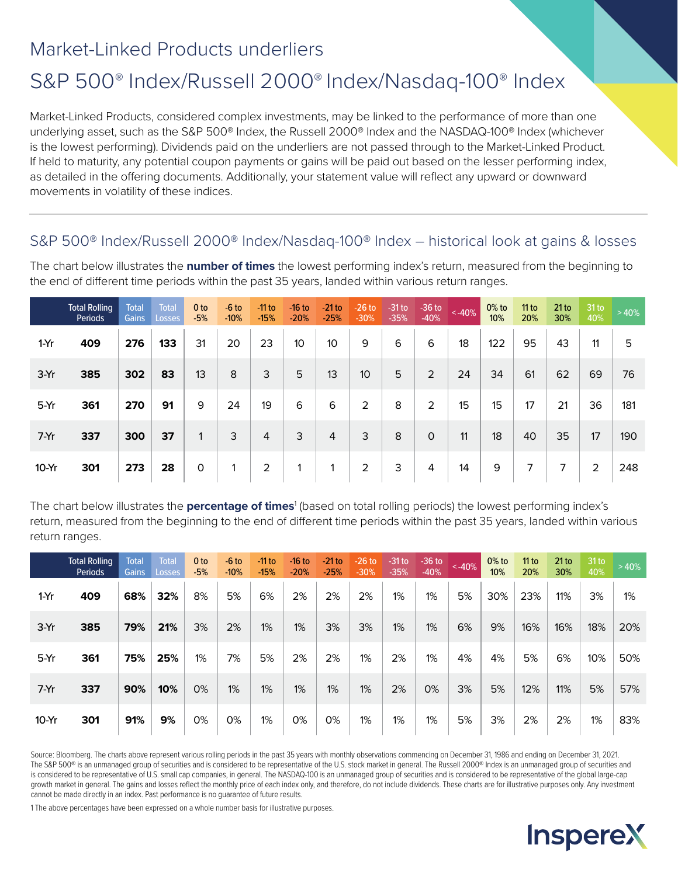## Market-Linked Products underliers

# S&P 500® Index/Russell 2000® Index/Nasdaq-100® Index

Market-Linked Products, considered complex investments, may be linked to the performance of more than one underlying asset, such as the S&P 500® Index, the Russell 2000® Index and the NASDAQ-100® Index (whichever is the lowest performing). Dividends paid on the underliers are not passed through to the Market-Linked Product. If held to maturity, any potential coupon payments or gains will be paid out based on the lesser performing index, as detailed in the offering documents. Additionally, your statement value will reflect any upward or downward movements in volatility of these indices.

### S&P 500® Index/Russell 2000® Index/Nasdaq-100® Index – historical look at gains & losses

The chart below illustrates the **number of times** the lowest performing index's return, measured from the beginning to the end of different time periods within the past 35 years, landed within various return ranges.

|         | <b>Total Rolling</b><br>Periods | <b>Total</b><br><b>Gains</b> | <b>Total</b><br><b>Losses</b> | 0 <sub>to</sub><br>$-5%$ | $-6$ to<br>$-10%$ | $-11$ to<br>$-15%$ | $-16$ to<br>$-20%$      | $-21$ to<br>$-25%$ | $-26$ to<br>$-30%$ | $-31$ to<br>$-35%$ | $-36$ to<br>$-40%$ | ~140% | $0\%$ to<br>10% | 11 to<br>20% | 21 to<br>30% | 31 <sub>to</sub><br>40% | >40% |
|---------|---------------------------------|------------------------------|-------------------------------|--------------------------|-------------------|--------------------|-------------------------|--------------------|--------------------|--------------------|--------------------|-------|-----------------|--------------|--------------|-------------------------|------|
| $1-Yr$  | 409                             | 276                          | 133                           | 31                       | 20                | 23                 | 10 <sup>°</sup>         | 10 <sup>°</sup>    | 9                  | 6                  | 6                  | 18    | 122             | 95           | 43           | 11                      | 5    |
| 3-Yr    | 385                             | 302                          | 83                            | 13                       | 8                 | 3                  | 5                       | 13                 | 10                 | 5                  | $\overline{2}$     | 24    | 34              | 61           | 62           | 69                      | 76   |
| 5-Yr    | 361                             | 270                          | 91                            | 9                        | 24                | 19                 | 6                       | 6                  | $\overline{2}$     | 8                  | $\overline{2}$     | 15    | 15              | 17           | 21           | 36                      | 181  |
| $7-Yr$  | 337                             | 300                          | 37                            | $\mathbf{1}$             | 3                 | $\overline{4}$     | 3                       | 4                  | 3                  | 8                  | $\circ$            | 11    | 18              | 40           | 35           | 17                      | 190  |
| $10-Yr$ | 301                             | 273                          | 28                            | 0                        | 1                 | $\overline{2}$     | $\overline{\mathbf{A}}$ | -1                 | 2                  | 3                  | 4                  | 14    | 9               | 7            | 7            | $\overline{2}$          | 248  |

The chart below illustrates the **percentage of times**<sup>1</sup> (based on total rolling periods) the lowest performing index's return, measured from the beginning to the end of different time periods within the past 35 years, landed within various return ranges.

|         | <b>Total Rolling</b><br>Periods | Total<br><b>Gains</b> | <b>Total</b><br>Losses | 0 <sub>to</sub><br>$-5%$ | $-6$ to<br>$-10%$ | $-11$ to<br>$-15%$ | $-16$ to<br>$-20%$ | $-21$ to<br>$-25%$ | $-26$ to<br>$-30%$ | $-31$ to<br>$-35%$ | $-36$ to<br>$-40%$ | $< -40%$ | $0\%$ to<br>10% | 11 to<br>20% | 21 to<br>30% | $31$ to<br>40% | >40% |
|---------|---------------------------------|-----------------------|------------------------|--------------------------|-------------------|--------------------|--------------------|--------------------|--------------------|--------------------|--------------------|----------|-----------------|--------------|--------------|----------------|------|
| $1-Yr$  | 409                             | 68%                   | 32%                    | 8%                       | 5%                | 6%                 | 2%                 | 2%                 | 2%                 | 1%                 | 1%                 | 5%       | 30%             | 23%          | 11%          | 3%             | 1%   |
| $3-Yr$  | 385                             | 79%                   | 21%                    | 3%                       | 2%                | 1%                 | 1%                 | 3%                 | 3%                 | 1%                 | 1%                 | 6%       | 9%              | 16%          | 16%          | 18%            | 20%  |
| $5-Yr$  | 361                             | 75%                   | 25%                    | 1%                       | 7%                | 5%                 | 2%                 | 2%                 | 1%                 | 2%                 | 1%                 | 4%       | 4%              | 5%           | 6%           | 10%            | 50%  |
| $7-Yr$  | 337                             | 90%                   | 10%                    | 0%                       | 1%                | 1%                 | 1%                 | 1%                 | 1%                 | 2%                 | $0\%$              | 3%       | 5%              | 12%          | 11%          | 5%             | 57%  |
| $10-Yr$ | 301                             | 91%                   | 9%                     | 0%                       | 0%                | 1%                 | 0%                 | 0%                 | 1%                 | 1%                 | 1%                 | 5%       | 3%              | 2%           | 2%           | 1%             | 83%  |

Source: Bloomberg. The charts above represent various rolling periods in the past 35 years with monthly observations commencing on December 31, 1986 and ending on December 31, 2021. The S&P 500<sup>®</sup> is an unmanaged group of securities and is considered to be representative of the U.S. stock market in general. The Russell 2000<sup>®</sup> Index is an unmanaged group of securities and is considered to be representative of U.S. small cap companies, in general. The NASDAQ-100 is an unmanaged group of securities and is considered to be representative of the global large-cap growth market in general. The gains and losses reflect the monthly price of each index only, and therefore, do not include dividends. These charts are for illustrative purposes only. Any investment cannot be made directly in an index. Past performance is no guarantee of future results.

1 The above percentages have been expressed on a whole number basis for illustrative purposes.